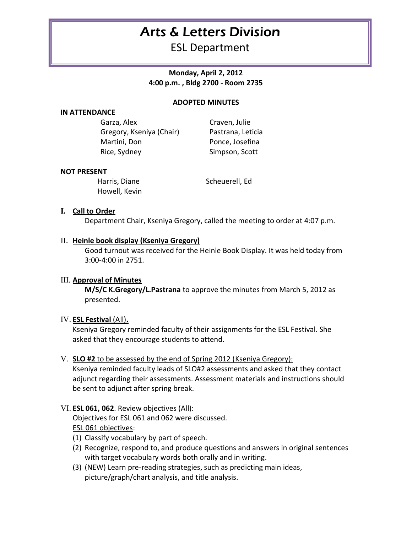# Arts & Letters Division

ESL Department

**Monday, April 2, 2012 4:00 p.m. , Bldg 2700 - Room 2735**

## **ADOPTED MINUTES**

## **IN ATTENDANCE**

Garza, Alex Craven, Julie Gregory, Kseniya (Chair) Pastrana, Leticia Martini, Don Ponce, Josefina Rice, Sydney Simpson, Scott

#### **NOT PRESENT**

Howell, Kevin

Harris, Diane Scheuerell, Ed

## **I. Call to Order**

Department Chair, Kseniya Gregory, called the meeting to order at 4:07 p.m.

#### II. **Heinle book display (Kseniya Gregory)**

Good turnout was received for the Heinle Book Display. It was held today from 3:00-4:00 in 2751.

## III. **Approval of Minutes**

**M/S/C K.Gregory/L.Pastrana** to approve the minutes from March 5, 2012 as presented.

#### IV. **ESL Festival** (All)**.**

Kseniya Gregory reminded faculty of their assignments for the ESL Festival. She asked that they encourage students to attend.

#### V. **SLO #2** to be assessed by the end of Spring 2012 (Kseniya Gregory):

Kseniya reminded faculty leads of SLO#2 assessments and asked that they contact adjunct regarding their assessments. Assessment materials and instructions should be sent to adjunct after spring break.

## VI. **ESL 061, 062**. Review objectives (All):

Objectives for ESL 061 and 062 were discussed. ESL 061 objectives:

- (1) Classify vocabulary by part of speech.
- (2) Recognize, respond to, and produce questions and answers in original sentences with target vocabulary words both orally and in writing.
- (3) (NEW) Learn pre-reading strategies, such as predicting main ideas, picture/graph/chart analysis, and title analysis.